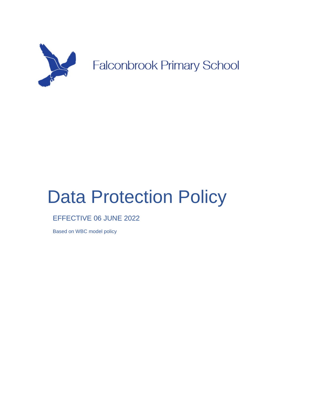

# Data Protection Policy

EFFECTIVE 06 JUNE 2022

NOVEMBER 2020 Based on WBC model policy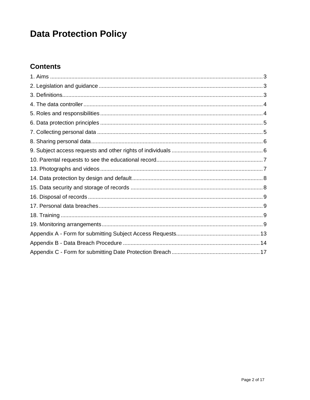## **Data Protection Policy**

### **Contents**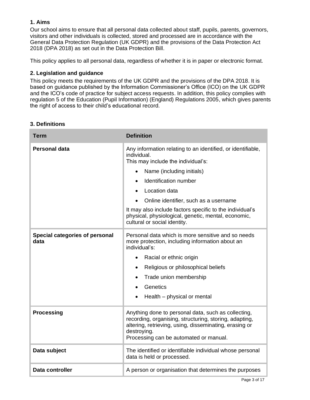#### **1. Aims**

Our school aims to ensure that all personal data collected about staff, pupils, parents, governors, visitors and other individuals is collected, stored and processed are in accordance with the [General Data Protection Regulation \(UK GDPR\)](http://data.consilium.europa.eu/doc/document/ST-5419-2016-INIT/en/pdf) and the provisions of the Data Protection Act 2018 (DPA 2018) as set out in the [Data Protection Bill.](https://publications.parliament.uk/pa/bills/cbill/2017-2019/0153/18153.pdf)

This policy applies to all personal data, regardless of whether it is in paper or electronic format.

#### **2. Legislation and guidance**

This policy meets the requirements of the UK GDPR and the provisions of the DPA 2018. It is based on guidance published by the Information Commissioner's Office (ICO) on the [UK GDPR](https://ico.org.uk/for-organisations/guide-to-the-general-data-protection-regulation-gdpr/individual-rights/right-to-be-informed/) and the ICO's [code of practice for subject access requests.](https://ico.org.uk/media/for-organisations/documents/2014223/subject-access-code-of-practice.pdf) In addition, this policy complies with regulation 5 of the [Education \(Pupil Information\) \(England\) Regulations 2005,](http://www.legislation.gov.uk/uksi/2005/1437/regulation/5/made) which gives parents the right of access to their child's educational record.

#### **3. Definitions**

| <b>Term</b>                                   | <b>Definition</b>                                                                                                                                                                                                                |  |
|-----------------------------------------------|----------------------------------------------------------------------------------------------------------------------------------------------------------------------------------------------------------------------------------|--|
| <b>Personal data</b>                          | Any information relating to an identified, or identifiable,<br>individual.<br>This may include the individual's:                                                                                                                 |  |
|                                               | Name (including initials)                                                                                                                                                                                                        |  |
|                                               | Identification number                                                                                                                                                                                                            |  |
|                                               | Location data                                                                                                                                                                                                                    |  |
|                                               | Online identifier, such as a username                                                                                                                                                                                            |  |
|                                               | It may also include factors specific to the individual's<br>physical, physiological, genetic, mental, economic,<br>cultural or social identity.                                                                                  |  |
| <b>Special categories of personal</b><br>data | Personal data which is more sensitive and so needs<br>more protection, including information about an<br>individual's:                                                                                                           |  |
|                                               | Racial or ethnic origin<br>$\bullet$                                                                                                                                                                                             |  |
|                                               | Religious or philosophical beliefs<br>$\bullet$                                                                                                                                                                                  |  |
|                                               | Trade union membership                                                                                                                                                                                                           |  |
|                                               | Genetics                                                                                                                                                                                                                         |  |
|                                               | Health – physical or mental                                                                                                                                                                                                      |  |
| <b>Processing</b>                             | Anything done to personal data, such as collecting,<br>recording, organising, structuring, storing, adapting,<br>altering, retrieving, using, disseminating, erasing or<br>destroying.<br>Processing can be automated or manual. |  |
| Data subject                                  | The identified or identifiable individual whose personal<br>data is held or processed.                                                                                                                                           |  |
| Data controller                               | A person or organisation that determines the purposes                                                                                                                                                                            |  |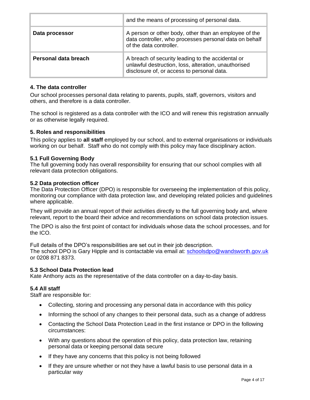|                      | and the means of processing of personal data.                                                                                                           |
|----------------------|---------------------------------------------------------------------------------------------------------------------------------------------------------|
| Data processor       | A person or other body, other than an employee of the<br>data controller, who processes personal data on behalf<br>of the data controller.              |
| Personal data breach | A breach of security leading to the accidental or<br>unlawful destruction, loss, alteration, unauthorised<br>disclosure of, or access to personal data. |

#### **4. The data controller**

Our school processes personal data relating to parents, pupils, staff, governors, visitors and others, and therefore is a data controller.

The school is registered as a data controller with the ICO and will renew this registration annually or as otherwise legally required.

#### **5. Roles and responsibilities**

This policy applies to **all staff** employed by our school, and to external organisations or individuals working on our behalf. Staff who do not comply with this policy may face disciplinary action.

#### **5.1 Full Governing Body**

The full governing body has overall responsibility for ensuring that our school complies with all relevant data protection obligations.

#### **5.2 Data protection officer**

The Data Protection Officer (DPO) is responsible for overseeing the implementation of this policy, monitoring our compliance with data protection law, and developing related policies and guidelines where applicable.

They will provide an annual report of their activities directly to the full governing body and, where relevant, report to the board their advice and recommendations on school data protection issues.

The DPO is also the first point of contact for individuals whose data the school processes, and for the ICO.

Full details of the DPO's responsibilities are set out in their job description. The school DPO is Gary Hipple and is contactable via email at: [schoolsdpo@wandsworth.gov.uk](mailto:schoolsdpo@wandsworth.gov.uk) or 0208 871 8373.

#### **5.3 School Data Protection lead**

Kate Anthony acts as the representative of the data controller on a day-to-day basis.

#### **5.4 All staff**

Staff are responsible for:

- Collecting, storing and processing any personal data in accordance with this policy
- Informing the school of any changes to their personal data, such as a change of address
- Contacting the School Data Protection Lead in the first instance or DPO in the following circumstances:
- With any questions about the operation of this policy, data protection law, retaining personal data or keeping personal data secure
- If they have any concerns that this policy is not being followed
- If they are unsure whether or not they have a lawful basis to use personal data in a particular way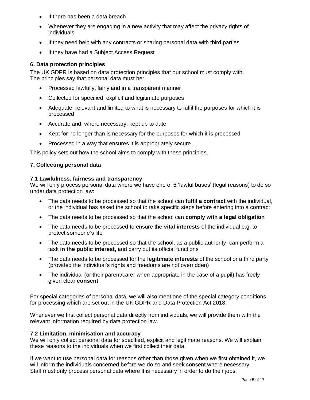- If there has been a data breach
- Whenever they are engaging in a new activity that may affect the privacy rights of individuals
- If they need help with any contracts or sharing personal data with third parties
- If they have had a Subject Access Request

#### **6. Data protection principles**

The UK GDPR is based on data protection principles that our school must comply with. The principles say that personal data must be:

- Processed lawfully, fairly and in a transparent manner
- Collected for specified, explicit and legitimate purposes
- Adequate, relevant and limited to what is necessary to fulfil the purposes for which it is processed
- Accurate and, where necessary, kept up to date
- Kept for no longer than is necessary for the purposes for which it is processed
- Processed in a way that ensures it is appropriately secure

This policy sets out how the school aims to comply with these principles.

#### **7. Collecting personal data**

#### **7.1 Lawfulness, fairness and transparency**

We will only process personal data where we have one of 6 'lawful bases' (legal reasons) to do so under data protection law:

- The data needs to be processed so that the school can **fulfil a contract** with the individual, or the individual has asked the school to take specific steps before entering into a contract
- The data needs to be processed so that the school can **comply with a legal obligation**
- The data needs to be processed to ensure the **vital interests** of the individual e.g. to protect someone's life
- The data needs to be processed so that the school, as a public authority, can perform a task **in the public interest,** and carry out its official functions
- The data needs to be processed for the **legitimate interests** of the school or a third party (provided the individual's rights and freedoms are not overridden)
- The individual (or their parent/carer when appropriate in the case of a pupil) has freely given clear **consent**

For special categories of personal data, we will also meet one of the special category conditions for processing which are set out in the UK GDPR and Data Protection Act 2018.

Whenever we first collect personal data directly from individuals, we will provide them with the relevant information required by data protection law.

#### **7.2 Limitation, minimisation and accuracy**

We will only collect personal data for specified, explicit and legitimate reasons. We will explain these reasons to the individuals when we first collect their data.

If we want to use personal data for reasons other than those given when we first obtained it, we will inform the individuals concerned before we do so and seek consent where necessary. Staff must only process personal data where it is necessary in order to do their jobs.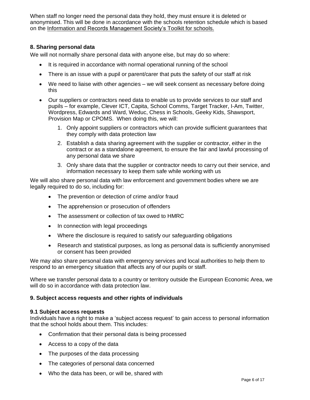When staff no longer need the personal data they hold, they must ensure it is deleted or anonymised. This will be done in accordance with the schools retention schedule which is based on the Information and Records Management Society's Toolkit for schools.

#### **8. Sharing personal data**

We will not normally share personal data with anyone else, but may do so where:

- It is required in accordance with normal operational running of the school
- There is an issue with a pupil or parent/carer that puts the safety of our staff at risk
- We need to liaise with other agencies we will seek consent as necessary before doing this
- Our suppliers or contractors need data to enable us to provide services to our staff and pupils – for example, Clever ICT, Capita, School Comms, Target Tracker, I-Am, Twitter, Wordpress, Edwards and Ward, Weduc, Chess in Schools, Geeky Kids, Shawsport, Provision Map or CPOMS. When doing this, we will:
	- 1. Only appoint suppliers or contractors which can provide sufficient guarantees that they comply with data protection law
	- 2. Establish a data sharing agreement with the supplier or contractor, either in the contract or as a standalone agreement, to ensure the fair and lawful processing of any personal data we share
	- 3. Only share data that the supplier or contractor needs to carry out their service, and information necessary to keep them safe while working with us

We will also share personal data with law enforcement and government bodies where we are legally required to do so, including for:

- The prevention or detection of crime and/or fraud
- The apprehension or prosecution of offenders
- The assessment or collection of tax owed to HMRC
- In connection with legal proceedings
- Where the disclosure is required to satisfy our safeguarding obligations
- Research and statistical purposes, as long as personal data is sufficiently anonymised or consent has been provided

We may also share personal data with emergency services and local authorities to help them to respond to an emergency situation that affects any of our pupils or staff.

Where we transfer personal data to a country or territory outside the European Economic Area, we will do so in accordance with data protection law.

#### **9. Subject access requests and other rights of individuals**

#### **9.1 Subject access requests**

Individuals have a right to make a 'subject access request' to gain access to personal information that the school holds about them. This includes:

- Confirmation that their personal data is being processed
- Access to a copy of the data
- The purposes of the data processing
- The categories of personal data concerned
- Who the data has been, or will be, shared with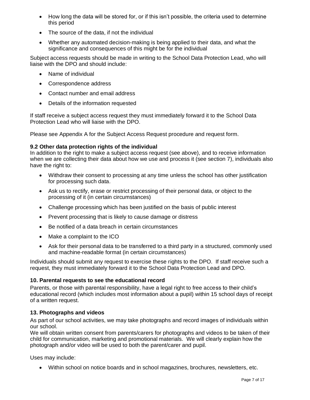- How long the data will be stored for, or if this isn't possible, the criteria used to determine this period
- The source of the data, if not the individual
- Whether any automated decision-making is being applied to their data, and what the significance and consequences of this might be for the individual

Subject access requests should be made in writing to the School Data Protection Lead, who will liaise with the DPO and should include:

- Name of individual
- Correspondence address
- Contact number and email address
- Details of the information requested

If staff receive a subject access request they must immediately forward it to the School Data Protection Lead who will liaise with the DPO.

Please see Appendix A for the Subject Access Request procedure and request form.

#### **9.2 Other data protection rights of the individual**

In addition to the right to make a subject access request (see above), and to receive information when we are collecting their data about how we use and process it (see section 7), individuals also have the right to:

- Withdraw their consent to processing at any time unless the school has other justification for processing such data.
- Ask us to rectify, erase or restrict processing of their personal data, or object to the processing of it (in certain circumstances)
- Challenge processing which has been justified on the basis of public interest
- Prevent processing that is likely to cause damage or distress
- Be notified of a data breach in certain circumstances
- Make a complaint to the ICO
- Ask for their personal data to be transferred to a third party in a structured, commonly used and machine-readable format (in certain circumstances)

Individuals should submit any request to exercise these rights to the DPO. If staff receive such a request, they must immediately forward it to the School Data Protection Lead and DPO.

#### **10. Parental requests to see the educational record**

Parents, or those with parental responsibility, have a legal right to free access to their child's educational record (which includes most information about a pupil) within 15 school days of receipt of a written request.

#### **13. Photographs and videos**

As part of our school activities, we may take photographs and record images of individuals within our school.

We will obtain written consent from parents/carers for photographs and videos to be taken of their child for communication, marketing and promotional materials. We will clearly explain how the photograph and/or video will be used to both the parent/carer and pupil.

Uses may include:

• Within school on notice boards and in school magazines, brochures, newsletters, etc.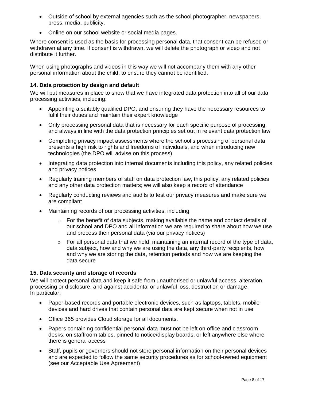- Outside of school by external agencies such as the school photographer, newspapers, press, media, publicity.
- Online on our school website or social media pages.

Where consent is used as the basis for processing personal data, that consent can be refused or withdrawn at any time. If consent is withdrawn, we will delete the photograph or video and not distribute it further.

When using photographs and videos in this way we will not accompany them with any other personal information about the child, to ensure they cannot be identified.

#### **14. Data protection by design and default**

We will put measures in place to show that we have integrated data protection into all of our data processing activities, including:

- Appointing a suitably qualified DPO, and ensuring they have the necessary resources to fulfil their duties and maintain their expert knowledge
- Only processing personal data that is necessary for each specific purpose of processing, and always in line with the data protection principles set out in relevant data protection law
- Completing privacy impact assessments where the school's processing of personal data presents a high risk to rights and freedoms of individuals, and when introducing new technologies (the DPO will advise on this process)
- Integrating data protection into internal documents including this policy, any related policies and privacy notices
- Regularly training members of staff on data protection law, this policy, any related policies and any other data protection matters; we will also keep a record of attendance
- Regularly conducting reviews and audits to test our privacy measures and make sure we are compliant
- Maintaining records of our processing activities, including:
	- $\circ$  For the benefit of data subjects, making available the name and contact details of our school and DPO and all information we are required to share about how we use and process their personal data (via our privacy notices)
	- $\circ$  For all personal data that we hold, maintaining an internal record of the type of data, data subject, how and why we are using the data, any third-party recipients, how and why we are storing the data, retention periods and how we are keeping the data secure

#### **15. Data security and storage of records**

We will protect personal data and keep it safe from unauthorised or unlawful access, alteration, processing or disclosure, and against accidental or unlawful loss, destruction or damage. In particular:

- Paper-based records and portable electronic devices, such as laptops, tablets, mobile devices and hard drives that contain personal data are kept secure when not in use
- Office 365 provides Cloud storage for all documents.
- Papers containing confidential personal data must not be left on office and classroom desks, on staffroom tables, pinned to notice/display boards, or left anywhere else where there is general access
- Staff, pupils or governors should not store personal information on their personal devices and are expected to follow the same security procedures as for school-owned equipment (see our Acceptable Use Agreement)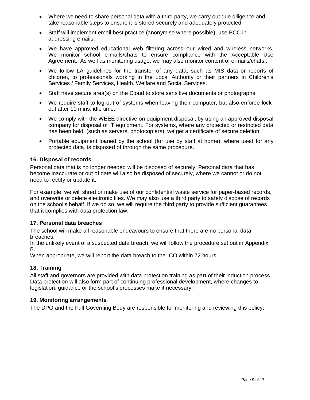- Where we need to share personal data with a third party, we carry out due diligence and take reasonable steps to ensure it is stored securely and adequately protected
- Staff will implement email best practice (anonymise where possible), use BCC in addressing emails.
- We have approved educational web filtering across our wired and wireless networks. We monitor school e-mails/chats to ensure compliance with the Acceptable Use Agreement. As well as monitoring usage, we may also monitor content of e-mails/chats..
- We follow LA guidelines for the transfer of any data, such as MIS data or reports of children, to professionals working in the Local Authority or their partners in Children's Services / Family Services, Health, Welfare and Social Services.
- Staff have secure area(s) on the Cloud to store sensitive documents or photographs.
- We require staff to log-out of systems when leaving their computer, but also enforce lockout after 10 mins. idle time.
- We comply with the WEEE directive on equipment disposal, by using an approved disposal company for disposal of IT equipment. For systems, where any protected or restricted data has been held, (such as servers, photocopiers), we get a certificate of secure deletion.
- Portable equipment loaned by the school (for use by staff at home), where used for any protected data, is disposed of through the same procedure.

#### **16. Disposal of records**

Personal data that is no longer needed will be disposed of securely. Personal data that has become inaccurate or out of date will also be disposed of securely, where we cannot or do not need to rectify or update it.

For example, we will shred or make use of our confidential waste service for paper-based records, and overwrite or delete electronic files. We may also use a third party to safely dispose of records on the school's behalf. If we do so, we will require the third party to provide sufficient guarantees that it complies with data protection law.

#### **17. Personal data breaches**

The school will make all reasonable endeavours to ensure that there are no personal data breaches.

In the unlikely event of a suspected data breach, we will follow the procedure set out in Appendix B.

When appropriate, we will report the data breach to the ICO within 72 hours.

#### **18. Training**

All staff and governors are provided with data protection training as part of their induction process. Data protection will also form part of continuing professional development, where changes to legislation, guidance or the school's processes make it necessary.

#### **19. Monitoring arrangements**

The DPO and the Full Governing Body are responsible for monitoring and reviewing this policy.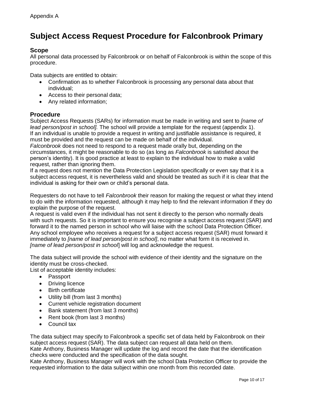## **Subject Access Request Procedure for Falconbrook Primary**

#### **Scope**

All personal data processed by Falconbrook or on behalf of Falconbrook is within the scope of this procedure.

Data subjects are entitled to obtain:

- Confirmation as to whether Falconbrook is processing any personal data about that individual;
- Access to their personal data;
- Any related information;

#### **Procedure**

Subject Access Requests (SARs) for information must be made in writing and sent to *[name of lead person/post in school].* The school will provide a template for the request (appendix 1). If an individual is unable to provide a request in writing and justifiable assistance is required, it must be provided and the request can be made on behalf of the individual.

*Falconbrook* does not need to respond to a request made orally but, depending on the circumstances, it might be reasonable to do so (as long as *Falconbrook* is satisfied about the person's identity). It is good practice at least to explain to the individual how to make a valid request, rather than ignoring them.

If a request does not mention the Data Protection Legislation specifically or even say that it is a subject access request, it is nevertheless valid and should be treated as such if it is clear that the individual is asking for their own or child's personal data.

Requesters do not have to tell *Falconbrook* their reason for making the request or what they intend to do with the information requested, although it may help to find the relevant information if they do explain the purpose of the request.

A request is valid even if the individual has not sent it directly to the person who normally deals with such requests. So it is important to ensure you recognise a subject access request (SAR) and forward it to the named person in school who will liaise with the school Data Protection Officer. Any school employee who receives a request for a subject access request (SAR) must forward it immediately to *[name of lead person/post in school]*, no matter what form it is received in. *[name of lead person/post in school*] will log and acknowledge the request.

The data subject will provide the school with evidence of their identity and the signature on the identity must be cross-checked.

List of acceptable identity includes:

- Passport
- Driving licence
- Birth certificate
- Utility bill (from last 3 months)
- Current vehicle registration document
- Bank statement (from last 3 months)
- Rent book (from last 3 months)
- Council tax

The data subject may specify to Falconbrook a specific set of data held by Falconbrook on their subject access request (SAR). The data subject can request all data held on them. Kate Anthony, Business Manager will update the log and record the date that the identification

checks were conducted and the specification of the data sought. Kate Anthony, Business Manager will work with the school Data Protection Officer to provide the requested information to the data subject within one month from this recorded date.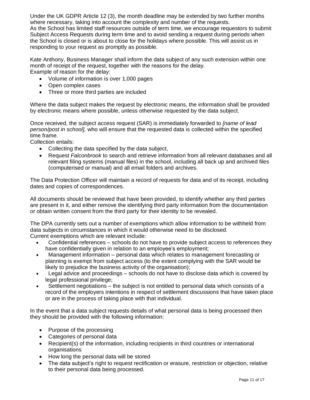Under the UK GDPR Article 12 (3), the month deadline may be extended by two further months where necessary, taking into account the complexity and number of the requests. As the School has limited staff resources outside of term time, we encourage requestors to submit Subject Access Requests during term time and to avoid sending a request during periods when the School is closed or is about to close for the holidays where possible. This will assist us in responding to your request as promptly as possible.

Kate Anthony, Business Manager shall inform the data subject of any such extension within one month of receipt of the request, together with the reasons for the delay. Example of reason for the delay:

• Volume of information is over 1,000 pages

- Open complex cases
- Three or more third parties are included

Where the data subject makes the request by electronic means, the information shall be provided by electronic means where possible, unless otherwise requested by the data subject.

Once received, the subject access request (SAR) is immediately forwarded to *[name of lead person/post in school],* who will ensure that the requested data is collected within the specified time frame.

Collection entails:

- Collecting the data specified by the data subject,
- Request *Falconbrook* to search and retrieve information from all relevant databases and all relevant filing systems (manual files) in the school, including all back up and archived files (computerised or manual) and all email folders and archives.

The Data Protection Officer will maintain a record of requests for data and of its receipt, including dates and copies of correspondences.

All documents should be reviewed that have been provided, to identify whether any third parties are present in it, and either remove the identifying third party information from the documentation or obtain written consent from the third party for their identity to be revealed.

The DPA currently sets out a number of exemptions which allow information to be withheld from data subjects in circumstances in which it would otherwise need to be disclosed. Current exemptions which are relevant include:

- Confidential references schools do not have to provide subject access to references they have confidentially given in relation to an employee's employment;
- Management information personal data which relates to management forecasting or planning is exempt from subject access (to the extent complying with the SAR would be likely to prejudice the business activity of the organisation);
- Legal advice and proceedings schools do not have to disclose data which is covered by legal professional privilege;
- Settlement negotiations the subject is not entitled to personal data which consists of a record of the employers intentions in respect of settlement discussions that have taken place or are in the process of taking place with that individual.

In the event that a data subject requests details of what personal data is being processed then they should be provided with the following information:

- Purpose of the processing
- Categories of personal data
- Recipient(s) of the information, including recipients in third countries or international organisations
- How long the personal data will be stored
- The data subject's right to request rectification or erasure, restriction or objection, relative to their personal data being processed.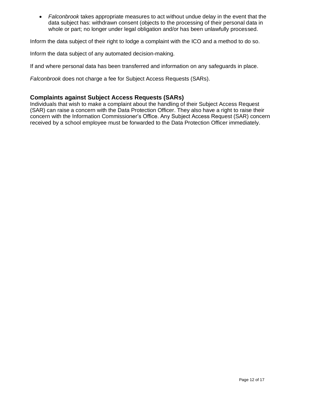• *Falconbrook* takes appropriate measures to act without undue delay in the event that the data subject has: withdrawn consent (objects to the processing of their personal data in whole or part; no longer under legal obligation and/or has been unlawfully processed.

Inform the data subject of their right to lodge a complaint with the ICO and a method to do so.

Inform the data subject of any automated decision-making.

If and where personal data has been transferred and information on any safeguards in place.

*Falconbrook* does not charge a fee for Subject Access Requests (SARs).

#### **Complaints against Subject Access Requests (SARs)**

Individuals that wish to make a complaint about the handling of their Subject Access Request (SAR) can raise a concern with the Data Protection Officer. They also have a right to raise their concern with the Information Commissioner's Office. Any Subject Access Request (SAR) concern received by a school employee must be forwarded to the Data Protection Officer immediately.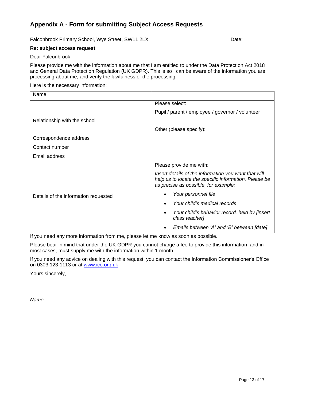#### **Appendix A - Form for submitting Subject Access Requests**

Falconbrook Primary School, Wye Street, SW11 2LX Date:

#### **Re: subject access request**

#### Dear Falconbrook

Please provide me with the information about me that I am entitled to under the Data Protection Act 2018 and General Data Protection Regulation (UK GDPR). This is so I can be aware of the information you are processing about me, and verify the lawfulness of the processing.

#### Here is the necessary information:

| Name                                 |                                                                                                                                                       |
|--------------------------------------|-------------------------------------------------------------------------------------------------------------------------------------------------------|
|                                      | Please select:                                                                                                                                        |
|                                      | Pupil / parent / employee / governor / volunteer                                                                                                      |
| Relationship with the school         |                                                                                                                                                       |
|                                      | Other (please specify):                                                                                                                               |
| Correspondence address               |                                                                                                                                                       |
| Contact number                       |                                                                                                                                                       |
| Email address                        |                                                                                                                                                       |
|                                      | Please provide me with:                                                                                                                               |
|                                      | Insert details of the information you want that will<br>help us to locate the specific information. Please be<br>as precise as possible, for example: |
| Details of the information requested | Your personnel file                                                                                                                                   |
|                                      | Your child's medical records                                                                                                                          |
|                                      | Your child's behavior record, held by [insert<br>class teacher]                                                                                       |
|                                      | Emails between 'A' and 'B' between [date]                                                                                                             |

If you need any more information from me, please let me know as soon as possible.

Please bear in mind that under the UK GDPR you cannot charge a fee to provide this information, and in most cases, must supply me with the information within 1 month.

If you need any advice on dealing with this request, you can contact the Information Commissioner's Office on 0303 123 1113 or at [www.ico.org.uk](http://www.ico.org.uk/)

Yours sincerely,

*Name*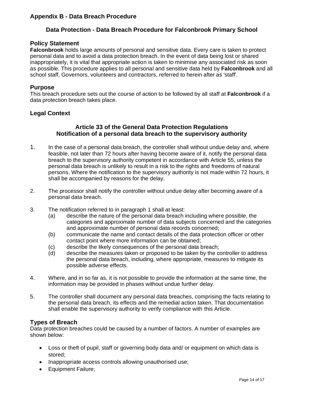#### **Appendix B - Data Breach Procedure**

#### **Data Protection - Data Breach Procedure for Falconbrook Primary School**

#### **Policy Statement**

**Falconbrook** holds large amounts of personal and sensitive data. Every care is taken to protect personal data and to avoid a data protection breach. In the event of data being lost or shared inappropriately, it is vital that appropriate action is taken to minimise any associated risk as soon as possible. This procedure applies to all personal and sensitive data held by **Falconbrook** and all school staff, Governors, volunteers and contractors, referred to herein after as 'staff'.

#### **Purpose**

This breach procedure sets out the course of action to be followed by all staff at **Falconbrook** if a data protection breach takes place.

#### **Legal Context**

#### **Article 33 of the General Data Protection Regulations Notification of a personal data breach to the supervisory authority**

- 1. In the case of a personal data breach, the controller shall without undue delay and, where feasible, not later than 72 hours after having become aware of it, notify the personal data breach to the supervisory authority competent in accordance with Article 55, unless the personal data breach is unlikely to result in a risk to the rights and freedoms of natural persons. Where the notification to the supervisory authority is not made within 72 hours, it shall be accompanied by reasons for the delay.
- 2. The processor shall notify the controller without undue delay after becoming aware of a personal data breach.
- 3. The notification referred to in paragraph 1 shall at least:
	- (a) describe the nature of the personal data breach including where possible, the categories and approximate number of data subjects concerned and the categories and approximate number of personal data records concerned;
	- (b) communicate the name and contact details of the data protection officer or other contact point where more information can be obtained;
	- (c) describe the likely consequences of the personal data breach;
	- (d) describe the measures taken or proposed to be taken by the controller to address the personal data breach, including, where appropriate, measures to mitigate its possible adverse effects.
- 4. Where, and in so far as, it is not possible to provide the information at the same time, the information may be provided in phases without undue further delay.
- 5. The controller shall document any personal data breaches, comprising the facts relating to the personal data breach, its effects and the remedial action taken. That documentation shall enable the supervisory authority to verify compliance with this Article.

#### **Types of Breach**

Data protection breaches could be caused by a number of factors. A number of examples are shown below:

- Loss or theft of pupil, staff or governing body data and/ or equipment on which data is stored;
- Inappropriate access controls allowing unauthorised use;
- Equipment Failure;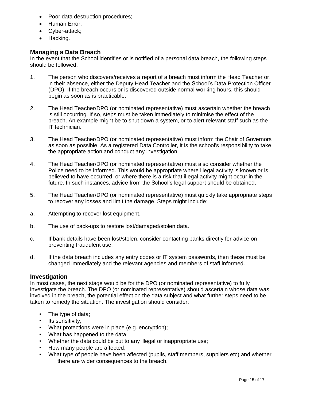- Poor data destruction procedures;
- Human Error;
- Cyber-attack;
- Hacking.

#### **Managing a Data Breach**

In the event that the School identifies or is notified of a personal data breach, the following steps should be followed:

- 1. The person who discovers/receives a report of a breach must inform the Head Teacher or, in their absence, either the Deputy Head Teacher and the School's Data Protection Officer (DPO). If the breach occurs or is discovered outside normal working hours, this should begin as soon as is practicable.
- 2. The Head Teacher/DPO (or nominated representative) must ascertain whether the breach is still occurring. If so, steps must be taken immediately to minimise the effect of the breach. An example might be to shut down a system, or to alert relevant staff such as the IT technician.
- 3. The Head Teacher/DPO (or nominated representative) must inform the Chair of Governors as soon as possible. As a registered Data Controller, it is the school's responsibility to take the appropriate action and conduct any investigation.
- 4. The Head Teacher/DPO (or nominated representative) must also consider whether the Police need to be informed. This would be appropriate where illegal activity is known or is believed to have occurred, or where there is a risk that illegal activity might occur in the future. In such instances, advice from the School's legal support should be obtained.
- 5. The Head Teacher/DPO (or nominated representative) must quickly take appropriate steps to recover any losses and limit the damage. Steps might include:
- a. Attempting to recover lost equipment.
- b. The use of back-ups to restore lost/damaged/stolen data.
- c. If bank details have been lost/stolen, consider contacting banks directly for advice on preventing fraudulent use.
- d. If the data breach includes any entry codes or IT system passwords, then these must be changed immediately and the relevant agencies and members of staff informed.

#### **Investigation**

In most cases, the next stage would be for the DPO (or nominated representative) to fully investigate the breach. The DPO (or nominated representative) should ascertain whose data was involved in the breach, the potential effect on the data subject and what further steps need to be taken to remedy the situation. The investigation should consider:

- The type of data;
- Its sensitivity:
- What protections were in place (e.g. encryption);
- What has happened to the data;
- Whether the data could be put to any illegal or inappropriate use;
- How many people are affected;
- What type of people have been affected (pupils, staff members, suppliers etc) and whether there are wider consequences to the breach.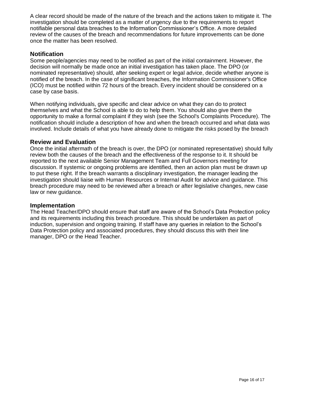A clear record should be made of the nature of the breach and the actions taken to mitigate it. The investigation should be completed as a matter of urgency due to the requirements to report notifiable personal data breaches to the Information Commissioner's Office. A more detailed review of the causes of the breach and recommendations for future improvements can be done once the matter has been resolved.

#### **Notification**

Some people/agencies may need to be notified as part of the initial containment. However, the decision will normally be made once an initial investigation has taken place. The DPO (or nominated representative) should, after seeking expert or legal advice, decide whether anyone is notified of the breach. In the case of significant breaches, the Information Commissioner's Office (ICO) must be notified within 72 hours of the breach. Every incident should be considered on a case by case basis.

When notifying individuals, give specific and clear advice on what they can do to protect themselves and what the School is able to do to help them. You should also give them the opportunity to make a formal complaint if they wish (see the School's Complaints Procedure). The notification should include a description of how and when the breach occurred and what data was involved. Include details of what you have already done to mitigate the risks posed by the breach

#### **Review and Evaluation**

Once the initial aftermath of the breach is over, the DPO (or nominated representative) should fully review both the causes of the breach and the effectiveness of the response to it. It should be reported to the next available Senior Management Team and Full Governors meeting for discussion. If systemic or ongoing problems are identified, then an action plan must be drawn up to put these right. If the breach warrants a disciplinary investigation, the manager leading the investigation should liaise with Human Resources or Internal Audit for advice and guidance. This breach procedure may need to be reviewed after a breach or after legislative changes, new case law or new guidance.

#### **Implementation**

The Head Teacher/DPO should ensure that staff are aware of the School's Data Protection policy and its requirements including this breach procedure. This should be undertaken as part of induction, supervision and ongoing training. If staff have any queries in relation to the School's Data Protection policy and associated procedures, they should discuss this with their line manager, DPO or the Head Teacher.